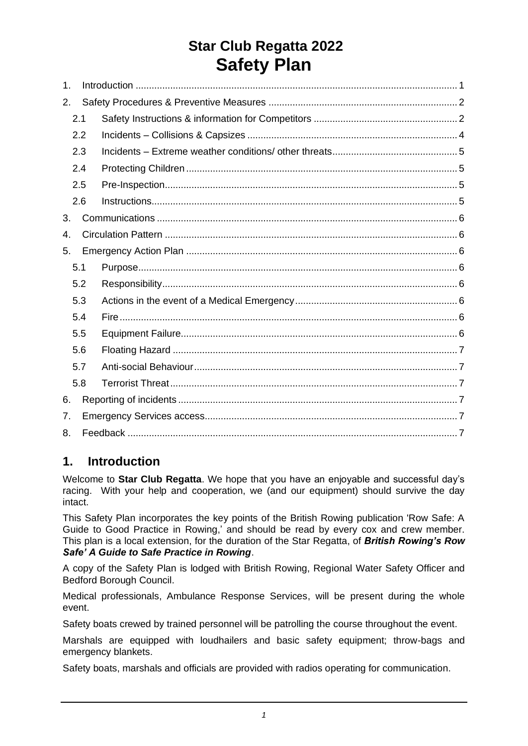# **Star Club Regatta 2022 Safety Plan**

| $\mathbf 1$ . |     |  |  |  |  |
|---------------|-----|--|--|--|--|
| 2.            |     |  |  |  |  |
| 2.1           |     |  |  |  |  |
| 2.2           |     |  |  |  |  |
| 2.3           |     |  |  |  |  |
|               | 2.4 |  |  |  |  |
| 2.5           |     |  |  |  |  |
|               | 2.6 |  |  |  |  |
| 3.            |     |  |  |  |  |
| 4.            |     |  |  |  |  |
| 5.            |     |  |  |  |  |
| 5.1           |     |  |  |  |  |
|               | 5.2 |  |  |  |  |
|               | 5.3 |  |  |  |  |
|               | 5.4 |  |  |  |  |
|               | 5.5 |  |  |  |  |
|               | 5.6 |  |  |  |  |
|               | 5.7 |  |  |  |  |
|               | 5.8 |  |  |  |  |
| 6.            |     |  |  |  |  |
| 7.            |     |  |  |  |  |
| 8.            |     |  |  |  |  |

## <span id="page-0-0"></span>**1. Introduction**

Welcome to **Star Club Regatta**. We hope that you have an enjoyable and successful day's racing. With your help and cooperation, we (and our equipment) should survive the day intact.

This Safety Plan incorporates the key points of the British Rowing publication 'Row Safe: A Guide to Good Practice in Rowing,' and should be read by every cox and crew member. This plan is a local extension, for the duration of the Star Regatta, of *British Rowing's Row Safe' A Guide to Safe Practice in Rowing*.

A copy of the Safety Plan is lodged with British Rowing, Regional Water Safety Officer and Bedford Borough Council.

Medical professionals, Ambulance Response Services, will be present during the whole event.

Safety boats crewed by trained personnel will be patrolling the course throughout the event.

Marshals are equipped with loudhailers and basic safety equipment; throw-bags and emergency blankets.

Safety boats, marshals and officials are provided with radios operating for communication.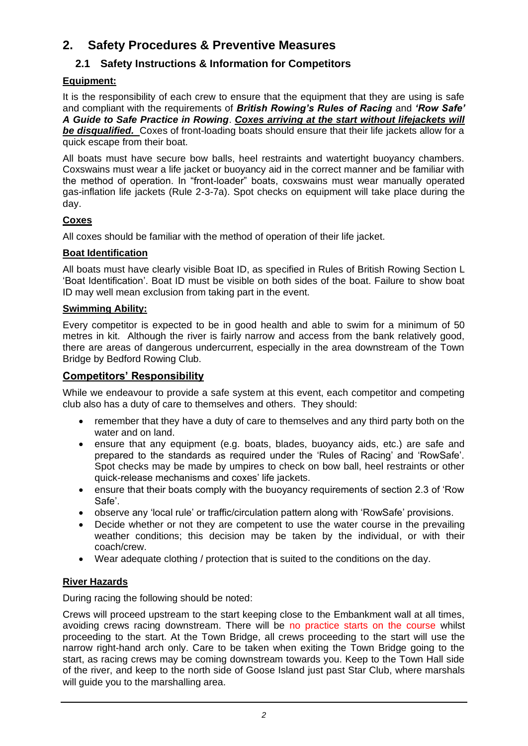## **2. Safety Procedures & Preventive Measures**

## <span id="page-1-0"></span>**2.1 Safety Instructions & Information for Competitors**

## **Equipment:**

It is the responsibility of each crew to ensure that the equipment that they are using is safe and compliant with the requirements of *British Rowing's Rules of Racing* and *'Row Safe' A Guide to Safe Practice in Rowing*. *Coxes arriving at the start without lifejackets will*  **be disqualified.** Coxes of front-loading boats should ensure that their life jackets allow for a quick escape from their boat.

All boats must have secure bow balls, heel restraints and watertight buoyancy chambers. Coxswains must wear a life jacket or buoyancy aid in the correct manner and be familiar with the method of operation. In "front-loader" boats, coxswains must wear manually operated gas-inflation life jackets (Rule 2-3-7a). Spot checks on equipment will take place during the day.

## **Coxes**

All coxes should be familiar with the method of operation of their life jacket.

## **Boat Identification**

All boats must have clearly visible Boat ID, as specified in Rules of British Rowing Section L 'Boat Identification'. Boat ID must be visible on both sides of the boat. Failure to show boat ID may well mean exclusion from taking part in the event.

## **Swimming Ability:**

Every competitor is expected to be in good health and able to swim for a minimum of 50 metres in kit. Although the river is fairly narrow and access from the bank relatively good, there are areas of dangerous undercurrent, especially in the area downstream of the Town Bridge by Bedford Rowing Club.

## **Competitors' Responsibility**

While we endeavour to provide a safe system at this event, each competitor and competing club also has a duty of care to themselves and others. They should:

- remember that they have a duty of care to themselves and any third party both on the water and on land.
- ensure that any equipment (e.g. boats, blades, buoyancy aids, etc.) are safe and prepared to the standards as required under the 'Rules of Racing' and 'RowSafe'. Spot checks may be made by umpires to check on bow ball, heel restraints or other quick-release mechanisms and coxes' life jackets.
- ensure that their boats comply with the buoyancy requirements of section 2.3 of 'Row Safe'.
- observe any 'local rule' or traffic/circulation pattern along with 'RowSafe' provisions.
- Decide whether or not they are competent to use the water course in the prevailing weather conditions; this decision may be taken by the individual, or with their coach/crew.
- Wear adequate clothing / protection that is suited to the conditions on the day.

## **River Hazards**

During racing the following should be noted:

Crews will proceed upstream to the start keeping close to the Embankment wall at all times, avoiding crews racing downstream. There will be no practice starts on the course whilst proceeding to the start. At the Town Bridge, all crews proceeding to the start will use the narrow right-hand arch only. Care to be taken when exiting the Town Bridge going to the start, as racing crews may be coming downstream towards you. Keep to the Town Hall side of the river, and keep to the north side of Goose Island just past Star Club, where marshals will guide you to the marshalling area.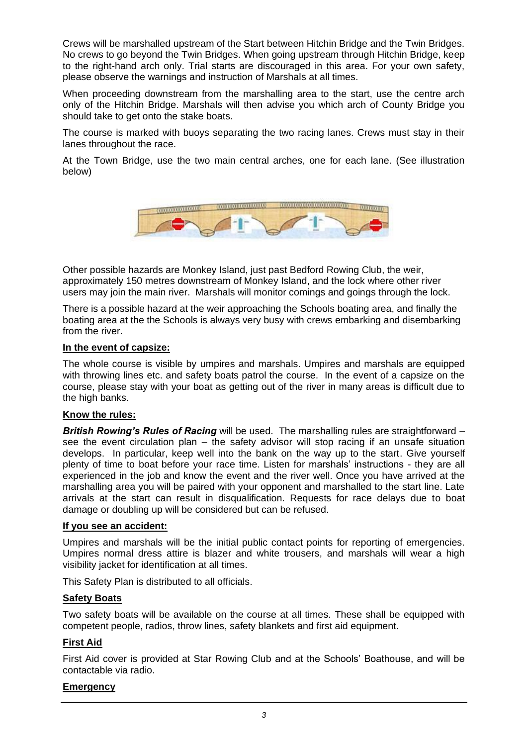Crews will be marshalled upstream of the Start between Hitchin Bridge and the Twin Bridges. No crews to go beyond the Twin Bridges. When going upstream through Hitchin Bridge, keep to the right-hand arch only. Trial starts are discouraged in this area. For your own safety, please observe the warnings and instruction of Marshals at all times.

When proceeding downstream from the marshalling area to the start, use the centre arch only of the Hitchin Bridge. Marshals will then advise you which arch of County Bridge you should take to get onto the stake boats.

The course is marked with buoys separating the two racing lanes. Crews must stay in their lanes throughout the race.

At the Town Bridge, use the two main central arches, one for each lane. (See illustration below)



Other possible hazards are Monkey Island, just past Bedford Rowing Club, the weir, approximately 150 metres downstream of Monkey Island, and the lock where other river users may join the main river. Marshals will monitor comings and goings through the lock.

There is a possible hazard at the weir approaching the Schools boating area, and finally the boating area at the the Schools is always very busy with crews embarking and disembarking from the river.

#### **In the event of capsize:**

The whole course is visible by umpires and marshals. Umpires and marshals are equipped with throwing lines etc. and safety boats patrol the course. In the event of a capsize on the course, please stay with your boat as getting out of the river in many areas is difficult due to the high banks.

#### **Know the rules:**

*British Rowing's Rules of Racing* will be used. The marshalling rules are straightforward – see the event circulation plan – the safety advisor will stop racing if an unsafe situation develops. In particular, keep well into the bank on the way up to the start. Give yourself plenty of time to boat before your race time. Listen for marshals' instructions - they are all experienced in the job and know the event and the river well. Once you have arrived at the marshalling area you will be paired with your opponent and marshalled to the start line. Late arrivals at the start can result in disqualification. Requests for race delays due to boat damage or doubling up will be considered but can be refused.

#### **If you see an accident:**

Umpires and marshals will be the initial public contact points for reporting of emergencies. Umpires normal dress attire is blazer and white trousers, and marshals will wear a high visibility jacket for identification at all times.

This Safety Plan is distributed to all officials.

#### **Safety Boats**

Two safety boats will be available on the course at all times. These shall be equipped with competent people, radios, throw lines, safety blankets and first aid equipment.

#### **First Aid**

First Aid cover is provided at Star Rowing Club and at the Schools' Boathouse, and will be contactable via radio.

#### **Emergency**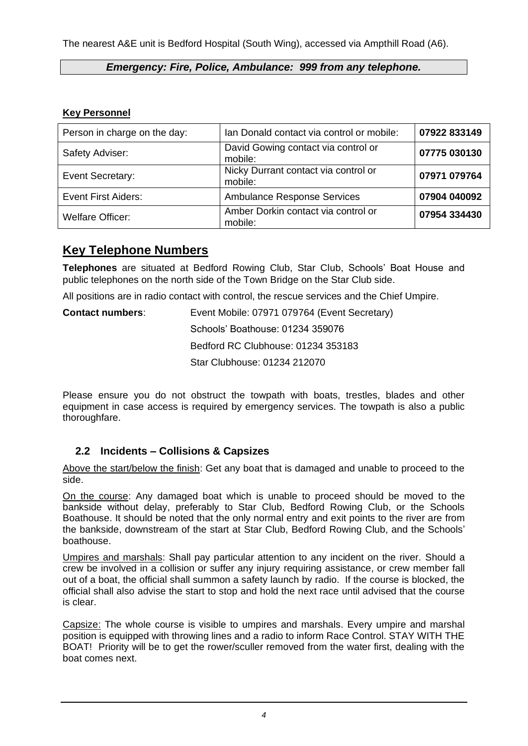The nearest A&E unit is Bedford Hospital (South Wing), accessed via Ampthill Road (A6).

#### *Emergency: Fire, Police, Ambulance: 999 from any telephone.*

#### **Key Personnel**

| Person in charge on the day: | Ian Donald contact via control or mobile:       | 07922833149  |
|------------------------------|-------------------------------------------------|--------------|
| Safety Adviser:              | David Gowing contact via control or<br>mobile:  | 07775 030130 |
| Event Secretary:             | Nicky Durrant contact via control or<br>mobile: | 07971 079764 |
| <b>Event First Aiders:</b>   | <b>Ambulance Response Services</b>              | 07904 040092 |
| <b>Welfare Officer:</b>      | Amber Dorkin contact via control or<br>mobile:  | 07954 334430 |

## **Key Telephone Numbers**

**Telephones** are situated at Bedford Rowing Club, Star Club, Schools' Boat House and public telephones on the north side of the Town Bridge on the Star Club side.

All positions are in radio contact with control, the rescue services and the Chief Umpire.

| <b>Contact numbers:</b> | Event Mobile: 07971 079764 (Event Secretary) |
|-------------------------|----------------------------------------------|
|                         | Schools' Boathouse: 01234 359076             |
|                         | Bedford RC Clubhouse: 01234 353183           |
|                         | Star Clubhouse: 01234 212070                 |

Please ensure you do not obstruct the towpath with boats, trestles, blades and other equipment in case access is required by emergency services. The towpath is also a public thoroughfare.

## <span id="page-3-0"></span>**2.2 Incidents – Collisions & Capsizes**

Above the start/below the finish: Get any boat that is damaged and unable to proceed to the side.

On the course: Any damaged boat which is unable to proceed should be moved to the bankside without delay, preferably to Star Club, Bedford Rowing Club, or the Schools Boathouse. It should be noted that the only normal entry and exit points to the river are from the bankside, downstream of the start at Star Club, Bedford Rowing Club, and the Schools' boathouse.

Umpires and marshals: Shall pay particular attention to any incident on the river. Should a crew be involved in a collision or suffer any injury requiring assistance, or crew member fall out of a boat, the official shall summon a safety launch by radio. If the course is blocked, the official shall also advise the start to stop and hold the next race until advised that the course is clear.

Capsize: The whole course is visible to umpires and marshals. Every umpire and marshal position is equipped with throwing lines and a radio to inform Race Control. STAY WITH THE BOAT! Priority will be to get the rower/sculler removed from the water first, dealing with the boat comes next.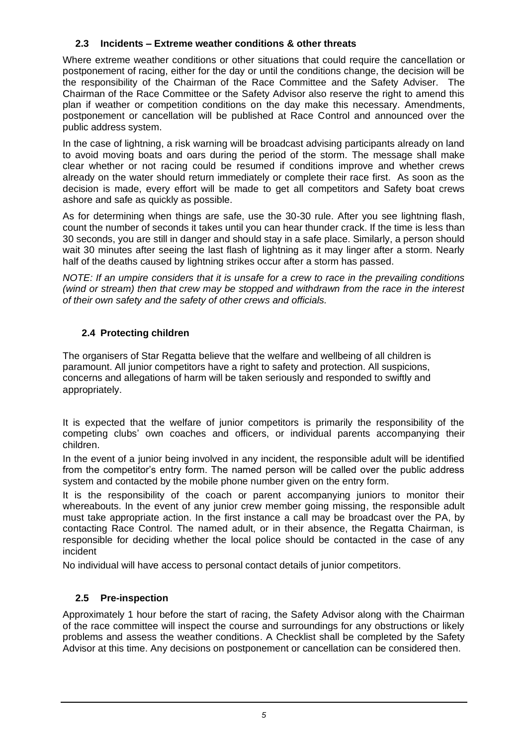#### <span id="page-4-0"></span>**2.3 Incidents – Extreme weather conditions & other threats**

Where extreme weather conditions or other situations that could require the cancellation or postponement of racing, either for the day or until the conditions change, the decision will be the responsibility of the Chairman of the Race Committee and the Safety Adviser. The Chairman of the Race Committee or the Safety Advisor also reserve the right to amend this plan if weather or competition conditions on the day make this necessary. Amendments, postponement or cancellation will be published at Race Control and announced over the public address system.

In the case of lightning, a risk warning will be broadcast advising participants already on land to avoid moving boats and oars during the period of the storm. The message shall make clear whether or not racing could be resumed if conditions improve and whether crews already on the water should return immediately or complete their race first. As soon as the decision is made, every effort will be made to get all competitors and Safety boat crews ashore and safe as quickly as possible.

As for determining when things are safe, use the 30-30 rule. After you see lightning flash, count the number of seconds it takes until you can hear thunder crack. If the time is less than 30 seconds, you are still in danger and should stay in a safe place. Similarly, a person should wait 30 minutes after seeing the last flash of lightning as it may linger after a storm. Nearly half of the deaths caused by lightning strikes occur after a storm has passed.

*NOTE: If an umpire considers that it is unsafe for a crew to race in the prevailing conditions (wind or stream) then that crew may be stopped and withdrawn from the race in the interest of their own safety and the safety of other crews and officials.*

## **2.4 Protecting children**

The organisers of Star Regatta believe that the welfare and wellbeing of all children is paramount. All junior competitors have a right to safety and protection. All suspicions, concerns and allegations of harm will be taken seriously and responded to swiftly and appropriately.

It is expected that the welfare of junior competitors is primarily the responsibility of the competing clubs' own coaches and officers, or individual parents accompanying their children.

In the event of a junior being involved in any incident, the responsible adult will be identified from the competitor's entry form. The named person will be called over the public address system and contacted by the mobile phone number given on the entry form.

It is the responsibility of the coach or parent accompanying juniors to monitor their whereabouts. In the event of any junior crew member going missing, the responsible adult must take appropriate action. In the first instance a call may be broadcast over the PA, by contacting Race Control. The named adult, or in their absence, the Regatta Chairman, is responsible for deciding whether the local police should be contacted in the case of any incident

No individual will have access to personal contact details of junior competitors.

## **2.5 Pre-inspection**

Approximately 1 hour before the start of racing, the Safety Advisor along with the Chairman of the race committee will inspect the course and surroundings for any obstructions or likely problems and assess the weather conditions. A Checklist shall be completed by the Safety Advisor at this time. Any decisions on postponement or cancellation can be considered then.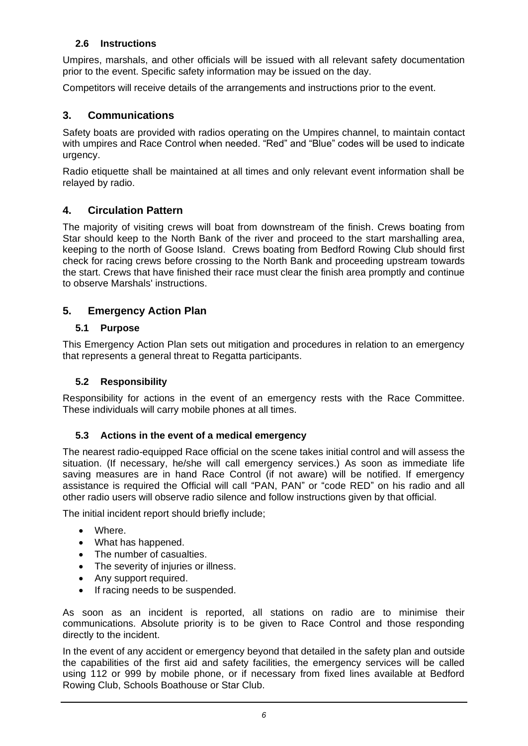#### **2.6 Instructions**

Umpires, marshals, and other officials will be issued with all relevant safety documentation prior to the event. Specific safety information may be issued on the day.

Competitors will receive details of the arrangements and instructions prior to the event.

## <span id="page-5-0"></span>**3. Communications**

<span id="page-5-1"></span>Safety boats are provided with radios operating on the Umpires channel, to maintain contact with umpires and Race Control when needed. "Red" and "Blue" codes will be used to indicate urgency.

Radio etiquette shall be maintained at all times and only relevant event information shall be relayed by radio.

#### **4. Circulation Pattern**

<span id="page-5-2"></span>The majority of visiting crews will boat from downstream of the finish. Crews boating from Star should keep to the North Bank of the river and proceed to the start marshalling area, keeping to the north of Goose Island. Crews boating from Bedford Rowing Club should first check for racing crews before crossing to the North Bank and proceeding upstream towards the start. Crews that have finished their race must clear the finish area promptly and continue to observe Marshals' instructions.

#### **5. Emergency Action Plan**

#### <span id="page-5-3"></span>**5.1 Purpose**

This Emergency Action Plan sets out mitigation and procedures in relation to an emergency that represents a general threat to Regatta participants.

#### <span id="page-5-4"></span>**5.2 Responsibility**

Responsibility for actions in the event of an emergency rests with the Race Committee. These individuals will carry mobile phones at all times.

#### <span id="page-5-5"></span>**5.3 Actions in the event of a medical emergency**

The nearest radio-equipped Race official on the scene takes initial control and will assess the situation. (If necessary, he/she will call emergency services.) As soon as immediate life saving measures are in hand Race Control (if not aware) will be notified. If emergency assistance is required the Official will call "PAN, PAN" or "code RED" on his radio and all other radio users will observe radio silence and follow instructions given by that official.

The initial incident report should briefly include;

- Where.
- What has happened.
- The number of casualties.
- The severity of injuries or illness.
- Any support required.
- If racing needs to be suspended.

As soon as an incident is reported, all stations on radio are to minimise their communications. Absolute priority is to be given to Race Control and those responding directly to the incident.

In the event of any accident or emergency beyond that detailed in the safety plan and outside the capabilities of the first aid and safety facilities, the emergency services will be called using 112 or 999 by mobile phone, or if necessary from fixed lines available at Bedford Rowing Club, Schools Boathouse or Star Club.